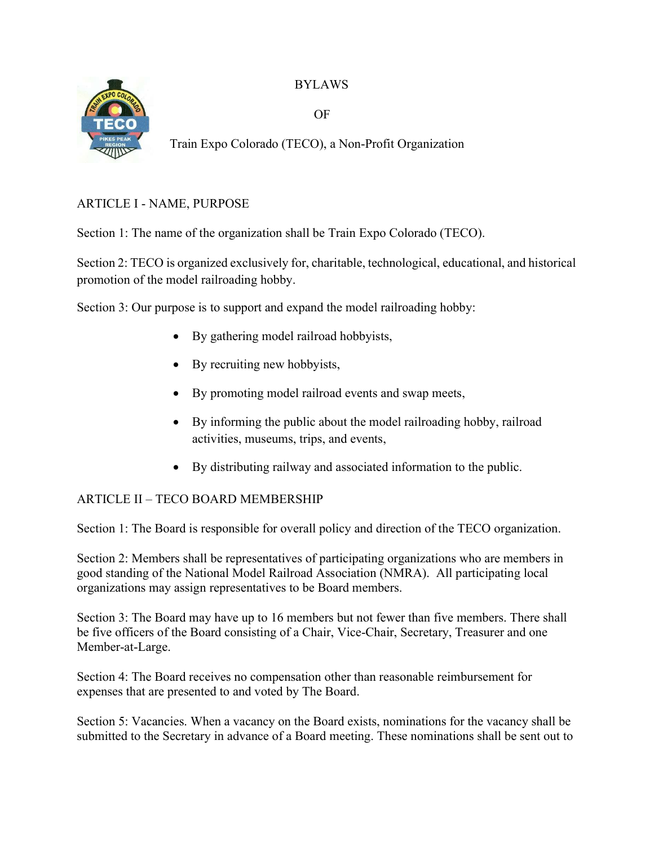BYLAWS



OF

Train Expo Colorado (TECO), a Non-Profit Organization

# ARTICLE I - NAME, PURPOSE

Section 1: The name of the organization shall be Train Expo Colorado (TECO).

Section 2: TECO is organized exclusively for, charitable, technological, educational, and historical promotion of the model railroading hobby.

Section 3: Our purpose is to support and expand the model railroading hobby:

- By gathering model railroad hobbyists,
- By recruiting new hobbyists,
- By promoting model railroad events and swap meets,
- By informing the public about the model railroading hobby, railroad activities, museums, trips, and events,
- By distributing railway and associated information to the public.

## ARTICLE II – TECO BOARD MEMBERSHIP

Section 1: The Board is responsible for overall policy and direction of the TECO organization.

Section 2: Members shall be representatives of participating organizations who are members in good standing of the National Model Railroad Association (NMRA). All participating local organizations may assign representatives to be Board members.

Section 3: The Board may have up to 16 members but not fewer than five members. There shall be five officers of the Board consisting of a Chair, Vice-Chair, Secretary, Treasurer and one Member-at-Large.

Section 4: The Board receives no compensation other than reasonable reimbursement for expenses that are presented to and voted by The Board.

Section 5: Vacancies. When a vacancy on the Board exists, nominations for the vacancy shall be submitted to the Secretary in advance of a Board meeting. These nominations shall be sent out to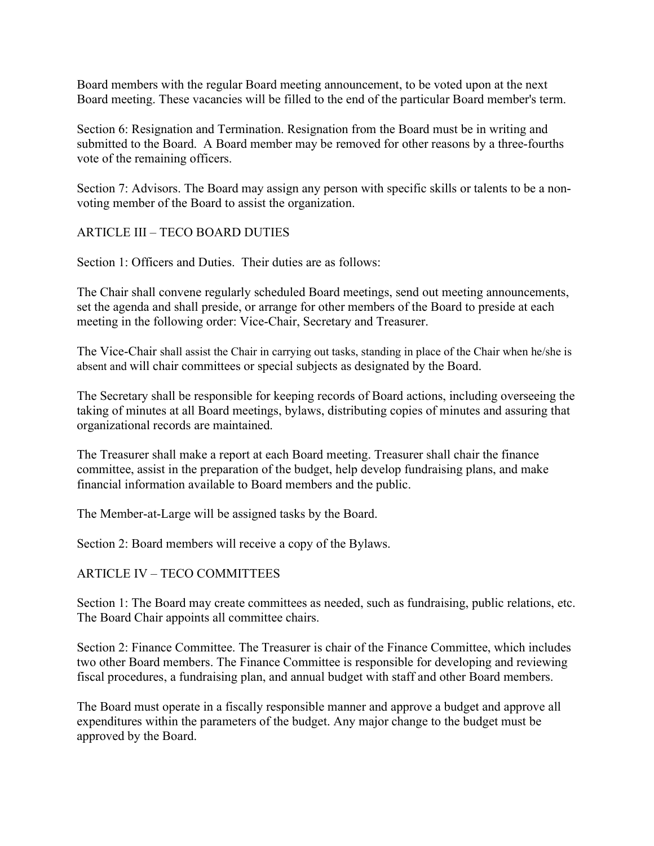Board members with the regular Board meeting announcement, to be voted upon at the next Board meeting. These vacancies will be filled to the end of the particular Board member's term.

Section 6: Resignation and Termination. Resignation from the Board must be in writing and submitted to the Board. A Board member may be removed for other reasons by a three-fourths vote of the remaining officers.

Section 7: Advisors. The Board may assign any person with specific skills or talents to be a nonvoting member of the Board to assist the organization.

#### ARTICLE III – TECO BOARD DUTIES

Section 1: Officers and Duties. Their duties are as follows:

The Chair shall convene regularly scheduled Board meetings, send out meeting announcements, set the agenda and shall preside, or arrange for other members of the Board to preside at each meeting in the following order: Vice-Chair, Secretary and Treasurer.

The Vice-Chair shall assist the Chair in carrying out tasks, standing in place of the Chair when he/she is absent and will chair committees or special subjects as designated by the Board.

The Secretary shall be responsible for keeping records of Board actions, including overseeing the taking of minutes at all Board meetings, bylaws, distributing copies of minutes and assuring that organizational records are maintained.

The Treasurer shall make a report at each Board meeting. Treasurer shall chair the finance committee, assist in the preparation of the budget, help develop fundraising plans, and make financial information available to Board members and the public.

The Member-at-Large will be assigned tasks by the Board.

Section 2: Board members will receive a copy of the Bylaws.

#### ARTICLE IV – TECO COMMITTEES

Section 1: The Board may create committees as needed, such as fundraising, public relations, etc. The Board Chair appoints all committee chairs.

Section 2: Finance Committee. The Treasurer is chair of the Finance Committee, which includes two other Board members. The Finance Committee is responsible for developing and reviewing fiscal procedures, a fundraising plan, and annual budget with staff and other Board members.

The Board must operate in a fiscally responsible manner and approve a budget and approve all expenditures within the parameters of the budget. Any major change to the budget must be approved by the Board.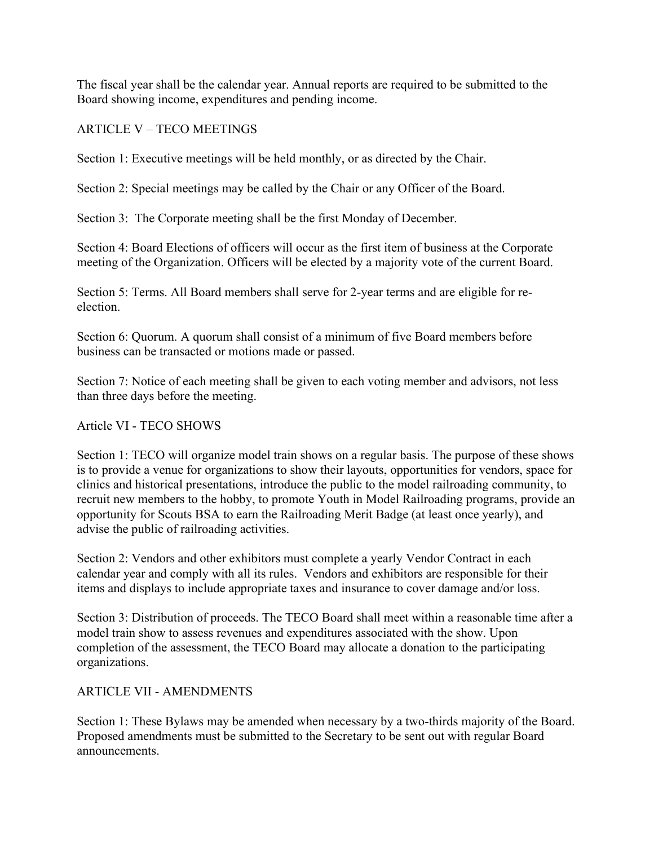The fiscal year shall be the calendar year. Annual reports are required to be submitted to the Board showing income, expenditures and pending income.

## ARTICLE V – TECO MEETINGS

Section 1: Executive meetings will be held monthly, or as directed by the Chair.

Section 2: Special meetings may be called by the Chair or any Officer of the Board.

Section 3: The Corporate meeting shall be the first Monday of December.

Section 4: Board Elections of officers will occur as the first item of business at the Corporate meeting of the Organization. Officers will be elected by a majority vote of the current Board.

Section 5: Terms. All Board members shall serve for 2-year terms and are eligible for reelection.

Section 6: Quorum. A quorum shall consist of a minimum of five Board members before business can be transacted or motions made or passed.

Section 7: Notice of each meeting shall be given to each voting member and advisors, not less than three days before the meeting.

## Article VI - TECO SHOWS

Section 1: TECO will organize model train shows on a regular basis. The purpose of these shows is to provide a venue for organizations to show their layouts, opportunities for vendors, space for clinics and historical presentations, introduce the public to the model railroading community, to recruit new members to the hobby, to promote Youth in Model Railroading programs, provide an opportunity for Scouts BSA to earn the Railroading Merit Badge (at least once yearly), and advise the public of railroading activities.

Section 2: Vendors and other exhibitors must complete a yearly Vendor Contract in each calendar year and comply with all its rules. Vendors and exhibitors are responsible for their items and displays to include appropriate taxes and insurance to cover damage and/or loss.

Section 3: Distribution of proceeds. The TECO Board shall meet within a reasonable time after a model train show to assess revenues and expenditures associated with the show. Upon completion of the assessment, the TECO Board may allocate a donation to the participating organizations.

## ARTICLE VII - AMENDMENTS

Section 1: These Bylaws may be amended when necessary by a two-thirds majority of the Board. Proposed amendments must be submitted to the Secretary to be sent out with regular Board announcements.